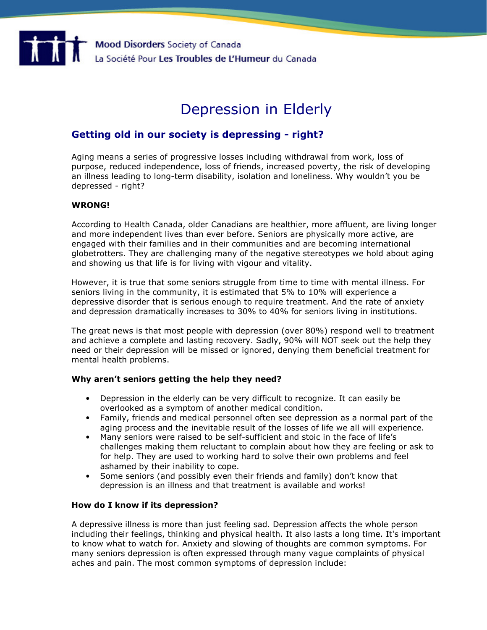# Depression in Elderly

## Getting old in our society is depressing - right?

Aging means a series of progressive losses including withdrawal from work, loss of purpose, reduced independence, loss of friends, increased poverty, the risk of developing an illness leading to long-term disability, isolation and loneliness. Why wouldn't you be depressed - right?

## WRONG!

According to Health Canada, older Canadians are healthier, more affluent, are living longer and more independent lives than ever before. Seniors are physically more active, are engaged with their families and in their communities and are becoming international globetrotters. They are challenging many of the negative stereotypes we hold about aging and showing us that life is for living with vigour and vitality.

However, it is true that some seniors struggle from time to time with mental illness. For seniors living in the community, it is estimated that 5% to 10% will experience a depressive disorder that is serious enough to require treatment. And the rate of anxiety and depression dramatically increases to 30% to 40% for seniors living in institutions.

The great news is that most people with depression (over 80%) respond well to treatment and achieve a complete and lasting recovery. Sadly, 90% will NOT seek out the help they need or their depression will be missed or ignored, denying them beneficial treatment for mental health problems.

## Why aren't seniors getting the help they need?

- Depression in the elderly can be very difficult to recognize. It can easily be overlooked as a symptom of another medical condition.
- Family, friends and medical personnel often see depression as a normal part of the aging process and the inevitable result of the losses of life we all will experience.
- Many seniors were raised to be self-sufficient and stoic in the face of life's challenges making them reluctant to complain about how they are feeling or ask to for help. They are used to working hard to solve their own problems and feel ashamed by their inability to cope.
- Some seniors (and possibly even their friends and family) don't know that depression is an illness and that treatment is available and works!

## How do I know if its depression?

A depressive illness is more than just feeling sad. Depression affects the whole person including their feelings, thinking and physical health. It also lasts a long time. It's important to know what to watch for. Anxiety and slowing of thoughts are common symptoms. For many seniors depression is often expressed through many vague complaints of physical aches and pain. The most common symptoms of depression include: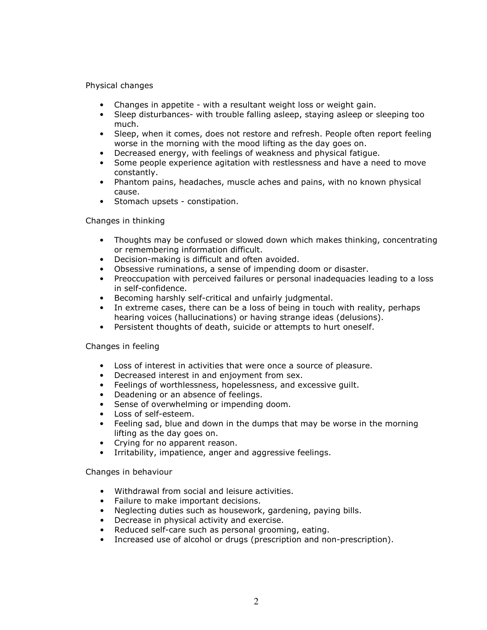## Physical changes

- Changes in appetite with a resultant weight loss or weight gain.
- Sleep disturbances- with trouble falling asleep, staying asleep or sleeping too much.
- Sleep, when it comes, does not restore and refresh. People often report feeling worse in the morning with the mood lifting as the day goes on.
- Decreased energy, with feelings of weakness and physical fatigue.
- Some people experience agitation with restlessness and have a need to move constantly.
- Phantom pains, headaches, muscle aches and pains, with no known physical cause.
- Stomach upsets constipation.

## Changes in thinking

- Thoughts may be confused or slowed down which makes thinking, concentrating or remembering information difficult.
- Decision-making is difficult and often avoided.
- Obsessive ruminations, a sense of impending doom or disaster.
- Preoccupation with perceived failures or personal inadequacies leading to a loss in self-confidence.
- Becoming harshly self-critical and unfairly judgmental.
- In extreme cases, there can be a loss of being in touch with reality, perhaps hearing voices (hallucinations) or having strange ideas (delusions).
- Persistent thoughts of death, suicide or attempts to hurt oneself.

## Changes in feeling

- Loss of interest in activities that were once a source of pleasure.
- Decreased interest in and enjoyment from sex.
- Feelings of worthlessness, hopelessness, and excessive guilt.
- Deadening or an absence of feelings.
- Sense of overwhelming or impending doom.
- Loss of self-esteem.
- Feeling sad, blue and down in the dumps that may be worse in the morning lifting as the day goes on.
- Crying for no apparent reason.
- Irritability, impatience, anger and aggressive feelings.

Changes in behaviour

- Withdrawal from social and leisure activities.
- Failure to make important decisions.
- Neglecting duties such as housework, gardening, paying bills.
- Decrease in physical activity and exercise.
- Reduced self-care such as personal grooming, eating.
- Increased use of alcohol or drugs (prescription and non-prescription).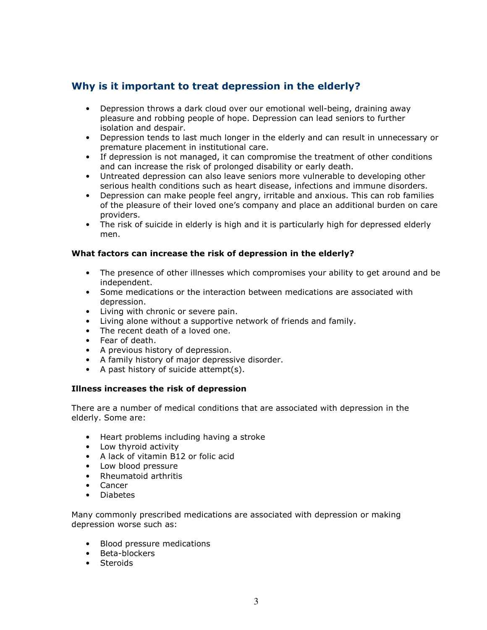# Why is it important to treat depression in the elderly?

- Depression throws a dark cloud over our emotional well-being, draining away pleasure and robbing people of hope. Depression can lead seniors to further isolation and despair.
- Depression tends to last much longer in the elderly and can result in unnecessary or premature placement in institutional care.
- If depression is not managed, it can compromise the treatment of other conditions and can increase the risk of prolonged disability or early death.
- Untreated depression can also leave seniors more vulnerable to developing other serious health conditions such as heart disease, infections and immune disorders.
- Depression can make people feel angry, irritable and anxious. This can rob families of the pleasure of their loved one's company and place an additional burden on care providers.
- The risk of suicide in elderly is high and it is particularly high for depressed elderly men.

## What factors can increase the risk of depression in the elderly?

- The presence of other illnesses which compromises your ability to get around and be independent.
- Some medications or the interaction between medications are associated with depression.
- Living with chronic or severe pain.
- Living alone without a supportive network of friends and family.
- The recent death of a loved one.
- Fear of death.
- A previous history of depression.
- A family history of major depressive disorder.
- A past history of suicide attempt(s).

## Illness increases the risk of depression

There are a number of medical conditions that are associated with depression in the elderly. Some are:

- Heart problems including having a stroke
- Low thyroid activity
- A lack of vitamin B12 or folic acid
- Low blood pressure
- Rheumatoid arthritis
- Cancer
- Diabetes

Many commonly prescribed medications are associated with depression or making depression worse such as:

- Blood pressure medications
- Beta-blockers
- Steroids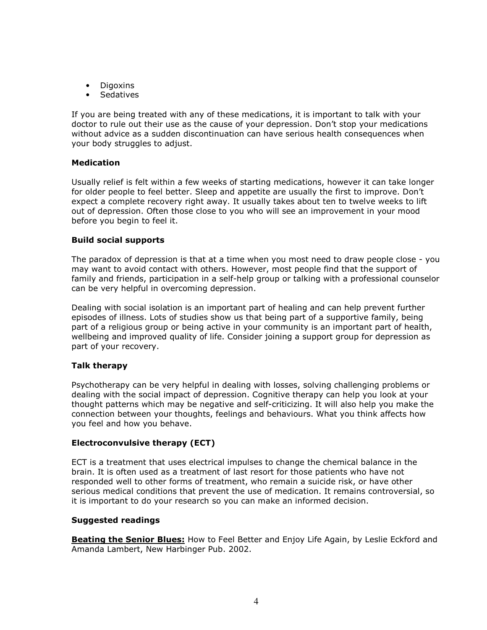- Digoxins
- Sedatives

If you are being treated with any of these medications, it is important to talk with your doctor to rule out their use as the cause of your depression. Don't stop your medications without advice as a sudden discontinuation can have serious health consequences when your body struggles to adjust.

## Medication

Usually relief is felt within a few weeks of starting medications, however it can take longer for older people to feel better. Sleep and appetite are usually the first to improve. Don't expect a complete recovery right away. It usually takes about ten to twelve weeks to lift out of depression. Often those close to you who will see an improvement in your mood before you begin to feel it.

## Build social supports

The paradox of depression is that at a time when you most need to draw people close - you may want to avoid contact with others. However, most people find that the support of family and friends, participation in a self-help group or talking with a professional counselor can be very helpful in overcoming depression.

Dealing with social isolation is an important part of healing and can help prevent further episodes of illness. Lots of studies show us that being part of a supportive family, being part of a religious group or being active in your community is an important part of health, wellbeing and improved quality of life. Consider joining a support group for depression as part of your recovery.

## Talk therapy

Psychotherapy can be very helpful in dealing with losses, solving challenging problems or dealing with the social impact of depression. Cognitive therapy can help you look at your thought patterns which may be negative and self-criticizing. It will also help you make the connection between your thoughts, feelings and behaviours. What you think affects how you feel and how you behave.

## Electroconvulsive therapy (ECT)

ECT is a treatment that uses electrical impulses to change the chemical balance in the brain. It is often used as a treatment of last resort for those patients who have not responded well to other forms of treatment, who remain a suicide risk, or have other serious medical conditions that prevent the use of medication. It remains controversial, so it is important to do your research so you can make an informed decision.

## Suggested readings

**Beating the Senior Blues:** How to Feel Better and Enjoy Life Again, by Leslie Eckford and Amanda Lambert, New Harbinger Pub. 2002.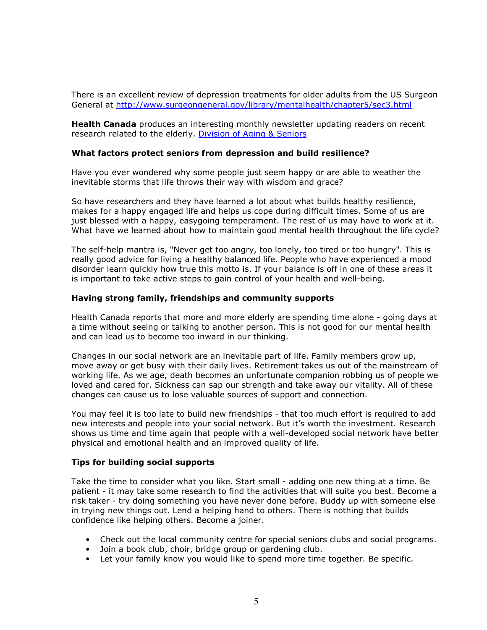There is an excellent review of depression treatments for older adults from the US Surgeon General at http://www.surgeongeneral.gov/library/mentalhealth/chapter5/sec3.html

**Health Canada** produces an interesting monthly newsletter updating readers on recent research related to the elderly. Division of Aging & Seniors

#### What factors protect seniors from depression and build resilience?

Have you ever wondered why some people just seem happy or are able to weather the inevitable storms that life throws their way with wisdom and grace?

So have researchers and they have learned a lot about what builds healthy resilience, makes for a happy engaged life and helps us cope during difficult times. Some of us are just blessed with a happy, easygoing temperament. The rest of us may have to work at it. What have we learned about how to maintain good mental health throughout the life cycle?

The self-help mantra is, "Never get too angry, too lonely, too tired or too hungry". This is really good advice for living a healthy balanced life. People who have experienced a mood disorder learn quickly how true this motto is. If your balance is off in one of these areas it is important to take active steps to gain control of your health and well-being.

#### Having strong family, friendships and community supports

Health Canada reports that more and more elderly are spending time alone - going days at a time without seeing or talking to another person. This is not good for our mental health and can lead us to become too inward in our thinking.

Changes in our social network are an inevitable part of life. Family members grow up, move away or get busy with their daily lives. Retirement takes us out of the mainstream of working life. As we age, death becomes an unfortunate companion robbing us of people we loved and cared for. Sickness can sap our strength and take away our vitality. All of these changes can cause us to lose valuable sources of support and connection.

You may feel it is too late to build new friendships - that too much effort is required to add new interests and people into your social network. But it's worth the investment. Research shows us time and time again that people with a well-developed social network have better physical and emotional health and an improved quality of life.

#### Tips for building social supports

Take the time to consider what you like. Start small - adding one new thing at a time. Be patient - it may take some research to find the activities that will suite you best. Become a risk taker - try doing something you have never done before. Buddy up with someone else in trying new things out. Lend a helping hand to others. There is nothing that builds confidence like helping others. Become a joiner.

- Check out the local community centre for special seniors clubs and social programs.
- Join a book club, choir, bridge group or gardening club.
- Let your family know you would like to spend more time together. Be specific.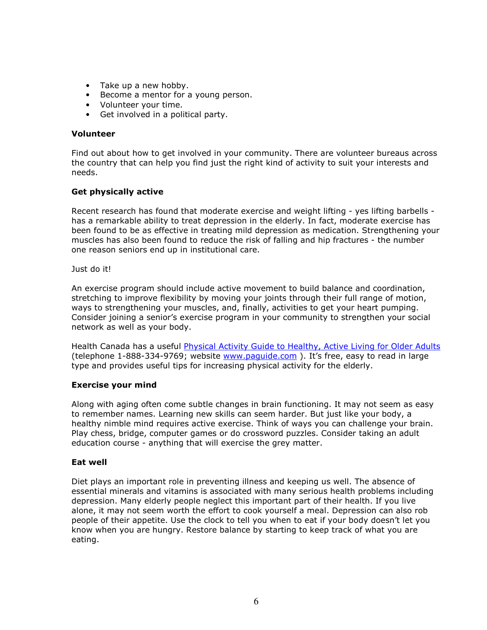- Take up a new hobby.
- Become a mentor for a young person.
- Volunteer your time.
- Get involved in a political party.

#### Volunteer

Find out about how to get involved in your community. There are volunteer bureaus across the country that can help you find just the right kind of activity to suit your interests and needs.

## Get physically active

Recent research has found that moderate exercise and weight lifting - yes lifting barbells has a remarkable ability to treat depression in the elderly. In fact, moderate exercise has been found to be as effective in treating mild depression as medication. Strengthening your muscles has also been found to reduce the risk of falling and hip fractures - the number one reason seniors end up in institutional care.

Just do it!

An exercise program should include active movement to build balance and coordination, stretching to improve flexibility by moving your joints through their full range of motion, ways to strengthening your muscles, and, finally, activities to get your heart pumping. Consider joining a senior's exercise program in your community to strengthen your social network as well as your body.

Health Canada has a useful Physical Activity Guide to Healthy, Active Living for Older Adults (telephone 1-888-334-9769; website www.paguide.com ). It's free, easy to read in large type and provides useful tips for increasing physical activity for the elderly.

## Exercise your mind

Along with aging often come subtle changes in brain functioning. It may not seem as easy to remember names. Learning new skills can seem harder. But just like your body, a healthy nimble mind requires active exercise. Think of ways you can challenge your brain. Play chess, bridge, computer games or do crossword puzzles. Consider taking an adult education course - anything that will exercise the grey matter.

## Eat well

Diet plays an important role in preventing illness and keeping us well. The absence of essential minerals and vitamins is associated with many serious health problems including depression. Many elderly people neglect this important part of their health. If you live alone, it may not seem worth the effort to cook yourself a meal. Depression can also rob people of their appetite. Use the clock to tell you when to eat if your body doesn't let you know when you are hungry. Restore balance by starting to keep track of what you are eating.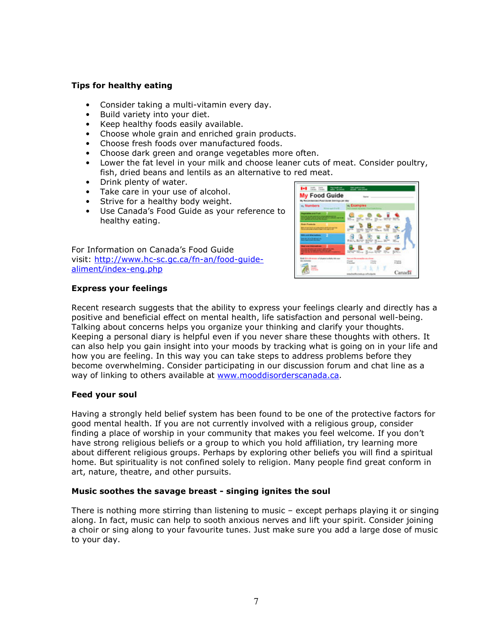## Tips for healthy eating

- Consider taking a multi-vitamin every day.
- Build variety into your diet.
- Keep healthy foods easily available.
- Choose whole grain and enriched grain products.
- Choose fresh foods over manufactured foods.
- Choose dark green and orange vegetables more often.
- Lower the fat level in your milk and choose leaner cuts of meat. Consider poultry, fish, dried beans and lentils as an alternative to red meat.
- Drink plenty of water.
- Take care in your use of alcohol.
- Strive for a healthy body weight.
- Use Canada's Food Guide as your reference to healthy eating.

For Information on Canada's Food Guide visit: http://www.hc-sc.gc.ca/fn-an/food-guidealiment/index-eng.php



## Express your feelings

Recent research suggests that the ability to express your feelings clearly and directly has a positive and beneficial effect on mental health, life satisfaction and personal well-being. Talking about concerns helps you organize your thinking and clarify your thoughts. Keeping a personal diary is helpful even if you never share these thoughts with others. It can also help you gain insight into your moods by tracking what is going on in your life and how you are feeling. In this way you can take steps to address problems before they become overwhelming. Consider participating in our discussion forum and chat line as a way of linking to others available at www.mooddisorderscanada.ca.

## Feed your soul

Having a strongly held belief system has been found to be one of the protective factors for good mental health. If you are not currently involved with a religious group, consider finding a place of worship in your community that makes you feel welcome. If you don't have strong religious beliefs or a group to which you hold affiliation, try learning more about different religious groups. Perhaps by exploring other beliefs you will find a spiritual home. But spirituality is not confined solely to religion. Many people find great conform in art, nature, theatre, and other pursuits.

## Music soothes the savage breast - singing ignites the soul

There is nothing more stirring than listening to music – except perhaps playing it or singing along. In fact, music can help to sooth anxious nerves and lift your spirit. Consider joining a choir or sing along to your favourite tunes. Just make sure you add a large dose of music to your day.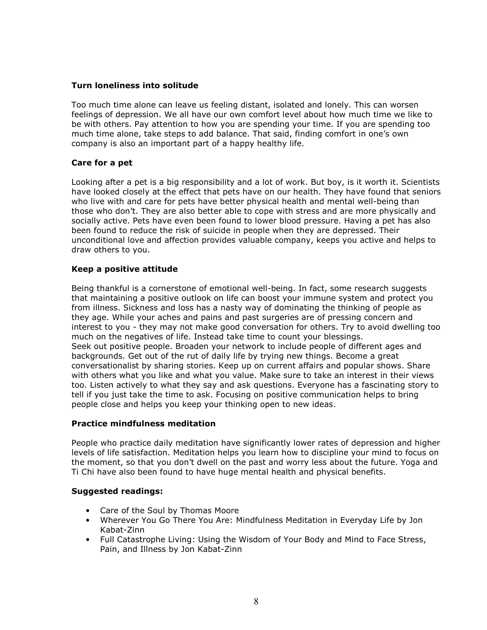## Turn loneliness into solitude

Too much time alone can leave us feeling distant, isolated and lonely. This can worsen feelings of depression. We all have our own comfort level about how much time we like to be with others. Pay attention to how you are spending your time. If you are spending too much time alone, take steps to add balance. That said, finding comfort in one's own company is also an important part of a happy healthy life.

## Care for a pet

Looking after a pet is a big responsibility and a lot of work. But boy, is it worth it. Scientists have looked closely at the effect that pets have on our health. They have found that seniors who live with and care for pets have better physical health and mental well-being than those who don't. They are also better able to cope with stress and are more physically and socially active. Pets have even been found to lower blood pressure. Having a pet has also been found to reduce the risk of suicide in people when they are depressed. Their unconditional love and affection provides valuable company, keeps you active and helps to draw others to you.

## Keep a positive attitude

Being thankful is a cornerstone of emotional well-being. In fact, some research suggests that maintaining a positive outlook on life can boost your immune system and protect you from illness. Sickness and loss has a nasty way of dominating the thinking of people as they age. While your aches and pains and past surgeries are of pressing concern and interest to you - they may not make good conversation for others. Try to avoid dwelling too much on the negatives of life. Instead take time to count your blessings. Seek out positive people. Broaden your network to include people of different ages and backgrounds. Get out of the rut of daily life by trying new things. Become a great conversationalist by sharing stories. Keep up on current affairs and popular shows. Share with others what you like and what you value. Make sure to take an interest in their views too. Listen actively to what they say and ask questions. Everyone has a fascinating story to tell if you just take the time to ask. Focusing on positive communication helps to bring people close and helps you keep your thinking open to new ideas.

## Practice mindfulness meditation

People who practice daily meditation have significantly lower rates of depression and higher levels of life satisfaction. Meditation helps you learn how to discipline your mind to focus on the moment, so that you don't dwell on the past and worry less about the future. Yoga and Ti Chi have also been found to have huge mental health and physical benefits.

## Suggested readings:

- Care of the Soul by Thomas Moore
- Wherever You Go There You Are: Mindfulness Meditation in Everyday Life by Jon Kabat-Zinn
- Full Catastrophe Living: Using the Wisdom of Your Body and Mind to Face Stress, Pain, and Illness by Jon Kabat-Zinn